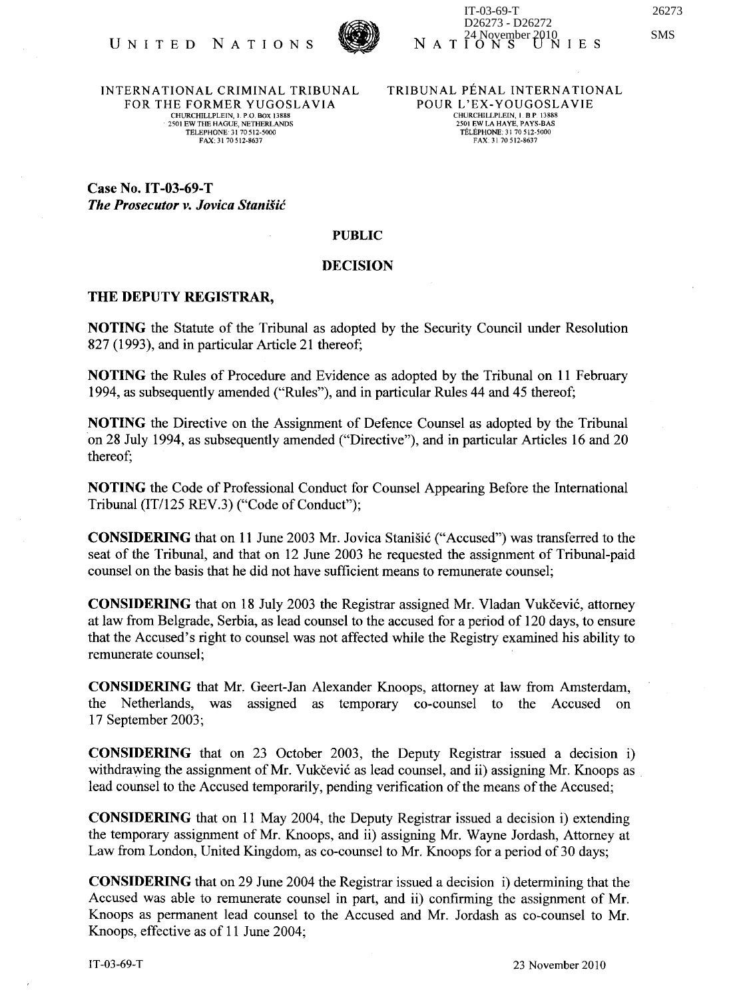

INTERNATIONAL CRIMINAL TRIBUNAL FOR THE FORMER YUGOSLAVIA CHURClflLLPLEIN, L P.O. BOX 13888 . 2501 EW THE HAGUE, NETHERLANDS TELEPHONE: 31 70512-5000 FAX:3170512-8637

TRIBUNAL PENAL INTERNATIONAL POUR L'EX-YOUGOSLAVIE CHURCHILLPLEIN, I. B.P. 13888<br>2501 EW LA HAYE, PAYS-BAS TELEPHONE: 31 70512-5000 FAX 31 70512-8637

Case No. IT-03-69-T *The Prosecutor v. Jovica StaniSic* 

## PUBLIC

## DECISION

## THE DEPUTY REGISTRAR,

NOTING the Statute of the Tribunal as adopted by the Security Council under Resolution 827 (1993), and in particular Article 21 thereof;

NOTING the Rules of Procedure and Evidence as adopted by the Tribunal on 11 February 1994, as subsequently amended ("Rules"), and in particular Rules 44 and 45 thereof;

NOTING the Directive on the Assignment of Defence Counsel as adopted by the Tribunal 'on 28 July 1994, as subsequently amended ("Directive"), and in particular Articles 16 and 20 thereof;

NOTING the Code of Professional Conduct for Counsel Appearing Before the International Tribunal  $(IT/125 REV.3)$  ("Code of Conduct");

CONSIDERING that on 11 June 2003 Mr. Jovica Stanišić ("Accused") was transferred to the seat of the Tribunal, and that on 12 June 2003 he requested the assignment of Tribunal-paid counsel on the basis that he did not have sufficient means to remunerate counsel;

CONSIDERING that on 18 July 2003 the Registrar assigned Mr. Vladan Vukcevic, attorney at law from Belgrade, Serbia, as lead counsel to the accused for a period of 120 days, to ensure that the Accused's right to counsel was not affected while the Registry examined his ability to remunerate counsel;

CONSIDERING that Mr. Geert-Jan Alexander Knoops, attorney at law from Amsterdam, the Netherlands, was assigned as temporary co-counsel to the Accused on 1 7 September 2003;

CONSIDERING that on 23 October 2003, the Deputy Registrar issued a decision i) withdrawing the assignment of Mr. Vukčević as lead counsel, and ii) assigning Mr. Knoops as lead counsel to the Accused temporarily, pending verification of the means of the Accused;

CONSIDERING that on 11 May 2004, the Deputy Registrar issued a decision i) extending the temporary assignment of Mr. Knoops, and ii) assigning Mr. Wayne Jordash, Attorney at Law from London, United Kingdom, as co-counsel to Mr. Knoops for a period of 30 days;

CONSIDERING that on 29 June 2004 the Registrar issued a decision i) determining that the Accused was able to remunerate counsel in part, and ii) confirming the assignment of Mr. Knoops as permanent lead counsel to the Accused and Mr. Jordash as co-counsel to Mr. Knoops, effective as of 11 June 2004;